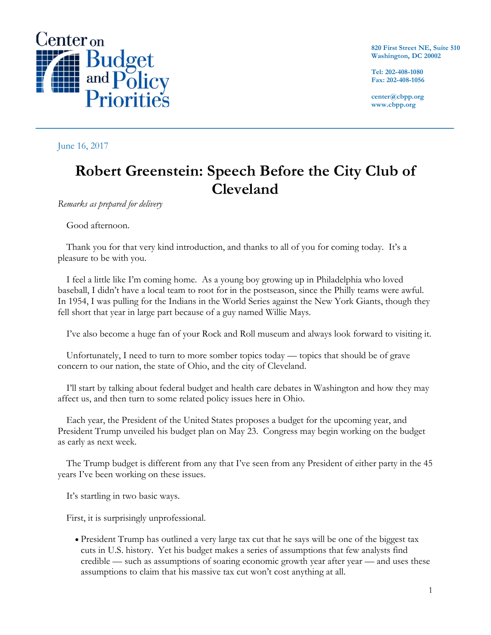

**820 First Street NE, Suite 510 Washington, DC 20002**

**Tel: 202-408-1080 Fax: 202-408-1056**

**center@cbpp.org www.cbpp.org**

June 16, 2017

# **Robert Greenstein: Speech Before the City Club of Cleveland**

*Remarks as prepared for delivery*

Good afternoon.

Thank you for that very kind introduction, and thanks to all of you for coming today. It's a pleasure to be with you.

I feel a little like I'm coming home. As a young boy growing up in Philadelphia who loved baseball, I didn't have a local team to root for in the postseason, since the Philly teams were awful. In 1954, I was pulling for the Indians in the World Series against the New York Giants, though they fell short that year in large part because of a guy named Willie Mays.

I've also become a huge fan of your Rock and Roll museum and always look forward to visiting it.

Unfortunately, I need to turn to more somber topics today — topics that should be of grave concern to our nation, the state of Ohio, and the city of Cleveland.

I'll start by talking about federal budget and health care debates in Washington and how they may affect us, and then turn to some related policy issues here in Ohio.

Each year, the President of the United States proposes a budget for the upcoming year, and President Trump unveiled his budget plan on May 23. Congress may begin working on the budget as early as next week.

The Trump budget is different from any that I've seen from any President of either party in the 45 years I've been working on these issues.

It's startling in two basic ways.

First, it is surprisingly unprofessional.

• President Trump has outlined a very large tax cut that he says will be one of the biggest tax cuts in U.S. history. Yet his budget makes a series of assumptions that few analysts find credible — such as assumptions of soaring economic growth year after year — and uses these assumptions to claim that his massive tax cut won't cost anything at all.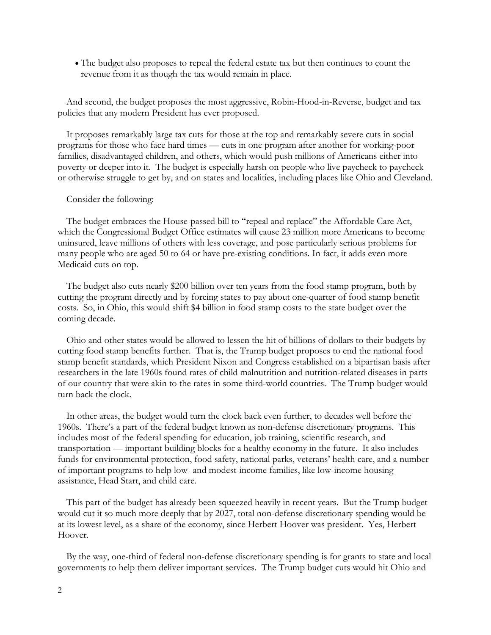• The budget also proposes to repeal the federal estate tax but then continues to count the revenue from it as though the tax would remain in place.

And second, the budget proposes the most aggressive, Robin-Hood-in-Reverse, budget and tax policies that any modern President has ever proposed.

It proposes remarkably large tax cuts for those at the top and remarkably severe cuts in social programs for those who face hard times — cuts in one program after another for working-poor families, disadvantaged children, and others, which would push millions of Americans either into poverty or deeper into it. The budget is especially harsh on people who live paycheck to paycheck or otherwise struggle to get by, and on states and localities, including places like Ohio and Cleveland.

#### Consider the following:

The budget embraces the House-passed bill to "repeal and replace" the Affordable Care Act, which the Congressional Budget Office estimates will cause 23 million more Americans to become uninsured, leave millions of others with less coverage, and pose particularly serious problems for many people who are aged 50 to 64 or have pre-existing conditions. In fact, it adds even more Medicaid cuts on top.

The budget also cuts nearly \$200 billion over ten years from the food stamp program, both by cutting the program directly and by forcing states to pay about one-quarter of food stamp benefit costs. So, in Ohio, this would shift \$4 billion in food stamp costs to the state budget over the coming decade.

Ohio and other states would be allowed to lessen the hit of billions of dollars to their budgets by cutting food stamp benefits further. That is, the Trump budget proposes to end the national food stamp benefit standards, which President Nixon and Congress established on a bipartisan basis after researchers in the late 1960s found rates of child malnutrition and nutrition-related diseases in parts of our country that were akin to the rates in some third-world countries. The Trump budget would turn back the clock.

In other areas, the budget would turn the clock back even further, to decades well before the 1960s. There's a part of the federal budget known as non-defense discretionary programs. This includes most of the federal spending for education, job training, scientific research, and transportation — important building blocks for a healthy economy in the future. It also includes funds for environmental protection, food safety, national parks, veterans' health care, and a number of important programs to help low- and modest-income families, like low-income housing assistance, Head Start, and child care.

This part of the budget has already been squeezed heavily in recent years. But the Trump budget would cut it so much more deeply that by 2027, total non-defense discretionary spending would be at its lowest level, as a share of the economy, since Herbert Hoover was president. Yes, Herbert Hoover.

By the way, one-third of federal non-defense discretionary spending is for grants to state and local governments to help them deliver important services. The Trump budget cuts would hit Ohio and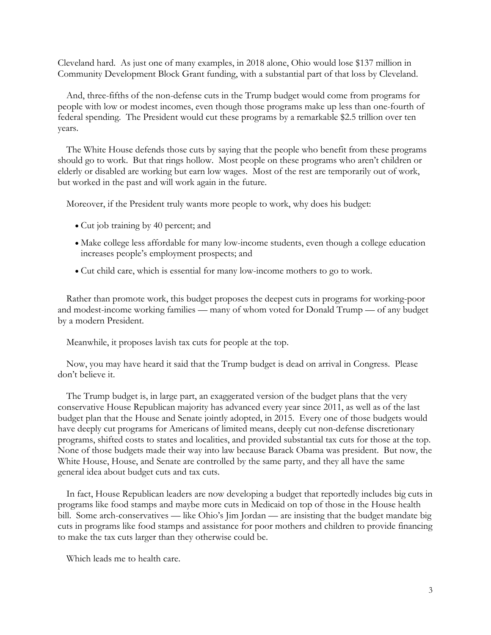Cleveland hard. As just one of many examples, in 2018 alone, Ohio would lose \$137 million in Community Development Block Grant funding, with a substantial part of that loss by Cleveland.

And, three-fifths of the non-defense cuts in the Trump budget would come from programs for people with low or modest incomes, even though those programs make up less than one-fourth of federal spending. The President would cut these programs by a remarkable \$2.5 trillion over ten years.

The White House defends those cuts by saying that the people who benefit from these programs should go to work. But that rings hollow. Most people on these programs who aren't children or elderly or disabled are working but earn low wages. Most of the rest are temporarily out of work, but worked in the past and will work again in the future.

Moreover, if the President truly wants more people to work, why does his budget:

- Cut job training by 40 percent; and
- Make college less affordable for many low-income students, even though a college education increases people's employment prospects; and
- Cut child care, which is essential for many low-income mothers to go to work.

Rather than promote work, this budget proposes the deepest cuts in programs for working-poor and modest-income working families — many of whom voted for Donald Trump — of any budget by a modern President.

Meanwhile, it proposes lavish tax cuts for people at the top.

Now, you may have heard it said that the Trump budget is dead on arrival in Congress. Please don't believe it.

The Trump budget is, in large part, an exaggerated version of the budget plans that the very conservative House Republican majority has advanced every year since 2011, as well as of the last budget plan that the House and Senate jointly adopted, in 2015. Every one of those budgets would have deeply cut programs for Americans of limited means, deeply cut non-defense discretionary programs, shifted costs to states and localities, and provided substantial tax cuts for those at the top. None of those budgets made their way into law because Barack Obama was president. But now, the White House, House, and Senate are controlled by the same party, and they all have the same general idea about budget cuts and tax cuts.

In fact, House Republican leaders are now developing a budget that reportedly includes big cuts in programs like food stamps and maybe more cuts in Medicaid on top of those in the House health bill. Some arch-conservatives — like Ohio's Jim Jordan — are insisting that the budget mandate big cuts in programs like food stamps and assistance for poor mothers and children to provide financing to make the tax cuts larger than they otherwise could be.

Which leads me to health care.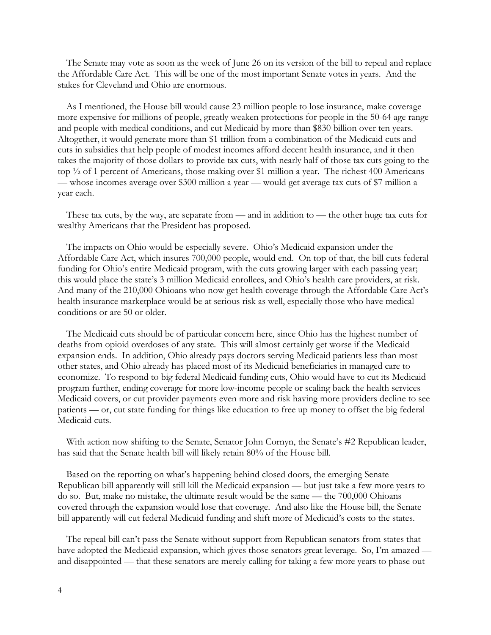The Senate may vote as soon as the week of June 26 on its version of the bill to repeal and replace the Affordable Care Act. This will be one of the most important Senate votes in years. And the stakes for Cleveland and Ohio are enormous.

As I mentioned, the House bill would cause 23 million people to lose insurance, make coverage more expensive for millions of people, greatly weaken protections for people in the 50-64 age range and people with medical conditions, and cut Medicaid by more than \$830 billion over ten years. Altogether, it would generate more than \$1 trillion from a combination of the Medicaid cuts and cuts in subsidies that help people of modest incomes afford decent health insurance, and it then takes the majority of those dollars to provide tax cuts, with nearly half of those tax cuts going to the top ½ of 1 percent of Americans, those making over \$1 million a year. The richest 400 Americans — whose incomes average over \$300 million a year — would get average tax cuts of \$7 million a year each.

These tax cuts, by the way, are separate from — and in addition to — the other huge tax cuts for wealthy Americans that the President has proposed.

The impacts on Ohio would be especially severe. Ohio's Medicaid expansion under the Affordable Care Act, which insures 700,000 people, would end. On top of that, the bill cuts federal funding for Ohio's entire Medicaid program, with the cuts growing larger with each passing year; this would place the state's 3 million Medicaid enrollees, and Ohio's health care providers, at risk. And many of the 210,000 Ohioans who now get health coverage through the Affordable Care Act's health insurance marketplace would be at serious risk as well, especially those who have medical conditions or are 50 or older.

The Medicaid cuts should be of particular concern here, since Ohio has the highest number of deaths from opioid overdoses of any state. This will almost certainly get worse if the Medicaid expansion ends. In addition, Ohio already pays doctors serving Medicaid patients less than most other states, and Ohio already has placed most of its Medicaid beneficiaries in managed care to economize. To respond to big federal Medicaid funding cuts, Ohio would have to cut its Medicaid program further, ending coverage for more low-income people or scaling back the health services Medicaid covers, or cut provider payments even more and risk having more providers decline to see patients — or, cut state funding for things like education to free up money to offset the big federal Medicaid cuts.

With action now shifting to the Senate, Senator John Cornyn, the Senate's #2 Republican leader, has said that the Senate health bill will likely retain 80% of the House bill.

Based on the reporting on what's happening behind closed doors, the emerging Senate Republican bill apparently will still kill the Medicaid expansion — but just take a few more years to do so. But, make no mistake, the ultimate result would be the same — the 700,000 Ohioans covered through the expansion would lose that coverage. And also like the House bill, the Senate bill apparently will cut federal Medicaid funding and shift more of Medicaid's costs to the states.

The repeal bill can't pass the Senate without support from Republican senators from states that have adopted the Medicaid expansion, which gives those senators great leverage. So, I'm amazed and disappointed — that these senators are merely calling for taking a few more years to phase out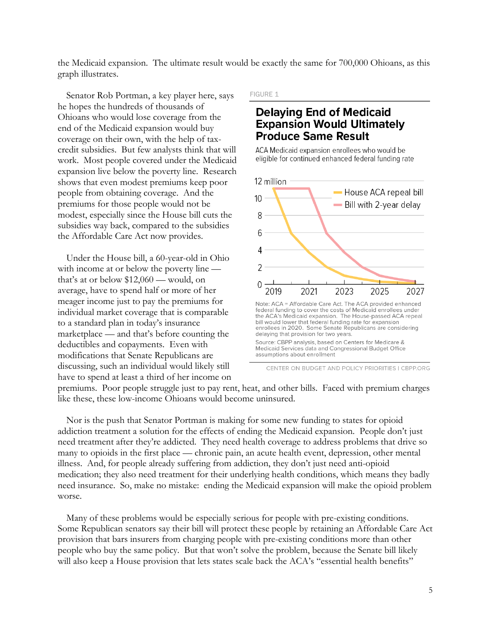the Medicaid expansion. The ultimate result would be exactly the same for 700,000 Ohioans, as this graph illustrates.

Senator Rob Portman, a key player here, says he hopes the hundreds of thousands of Ohioans who would lose coverage from the end of the Medicaid expansion would buy coverage on their own, with the help of taxcredit subsidies. But few analysts think that will work. Most people covered under the Medicaid expansion live below the poverty line. Research shows that even modest premiums keep poor people from obtaining coverage. And the premiums for those people would not be modest, especially since the House bill cuts the subsidies way back, compared to the subsidies the Affordable Care Act now provides.

Under the House bill, a 60-year-old in Ohio with income at or below the poverty line that's at or below \$12,060 — would, on average, have to spend half or more of her meager income just to pay the premiums for individual market coverage that is comparable to a standard plan in today's insurance marketplace — and that's before counting the deductibles and copayments. Even with modifications that Senate Republicans are discussing, such an individual would likely still have to spend at least a third of her income on FIGURE 1

### **Delaying End of Medicaid Expansion Would Ultimately Produce Same Result**

ACA Medicaid expansion enrollees who would be eligible for continued enhanced federal funding rate



CENTER ON BUDGET AND POLICY PRIORITIES | CBPP.ORG

premiums. Poor people struggle just to pay rent, heat, and other bills. Faced with premium charges like these, these low-income Ohioans would become uninsured.

Nor is the push that Senator Portman is making for some new funding to states for opioid addiction treatment a solution for the effects of ending the Medicaid expansion. People don't just need treatment after they're addicted. They need health coverage to address problems that drive so many to opioids in the first place — chronic pain, an acute health event, depression, other mental illness. And, for people already suffering from addiction, they don't just need anti-opioid medication; they also need treatment for their underlying health conditions, which means they badly need insurance. So, make no mistake: ending the Medicaid expansion will make the opioid problem worse.

Many of these problems would be especially serious for people with pre-existing conditions. Some Republican senators say their bill will protect these people by retaining an Affordable Care Act provision that bars insurers from charging people with pre-existing conditions more than other people who buy the same policy. But that won't solve the problem, because the Senate bill likely will also keep a House provision that lets states scale back the ACA's "essential health benefits"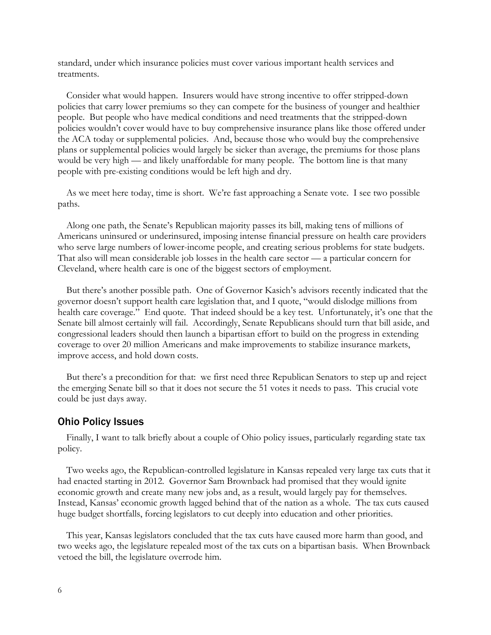standard, under which insurance policies must cover various important health services and treatments.

Consider what would happen. Insurers would have strong incentive to offer stripped-down policies that carry lower premiums so they can compete for the business of younger and healthier people. But people who have medical conditions and need treatments that the stripped-down policies wouldn't cover would have to buy comprehensive insurance plans like those offered under the ACA today or supplemental policies. And, because those who would buy the comprehensive plans or supplemental policies would largely be sicker than average, the premiums for those plans would be very high — and likely unaffordable for many people. The bottom line is that many people with pre-existing conditions would be left high and dry.

As we meet here today, time is short. We're fast approaching a Senate vote. I see two possible paths.

Along one path, the Senate's Republican majority passes its bill, making tens of millions of Americans uninsured or underinsured, imposing intense financial pressure on health care providers who serve large numbers of lower-income people, and creating serious problems for state budgets. That also will mean considerable job losses in the health care sector — a particular concern for Cleveland, where health care is one of the biggest sectors of employment.

But there's another possible path. One of Governor Kasich's advisors recently indicated that the governor doesn't support health care legislation that, and I quote, "would dislodge millions from health care coverage." End quote. That indeed should be a key test. Unfortunately, it's one that the Senate bill almost certainly will fail. Accordingly, Senate Republicans should turn that bill aside, and congressional leaders should then launch a bipartisan effort to build on the progress in extending coverage to over 20 million Americans and make improvements to stabilize insurance markets, improve access, and hold down costs.

But there's a precondition for that: we first need three Republican Senators to step up and reject the emerging Senate bill so that it does not secure the 51 votes it needs to pass. This crucial vote could be just days away.

#### Ohio Policy Issues

Finally, I want to talk briefly about a couple of Ohio policy issues, particularly regarding state tax policy.

Two weeks ago, the Republican-controlled legislature in Kansas repealed very large tax cuts that it had enacted starting in 2012. Governor Sam Brownback had promised that they would ignite economic growth and create many new jobs and, as a result, would largely pay for themselves. Instead, Kansas' economic growth lagged behind that of the nation as a whole. The tax cuts caused huge budget shortfalls, forcing legislators to cut deeply into education and other priorities.

This year, Kansas legislators concluded that the tax cuts have caused more harm than good, and two weeks ago, the legislature repealed most of the tax cuts on a bipartisan basis. When Brownback vetoed the bill, the legislature overrode him.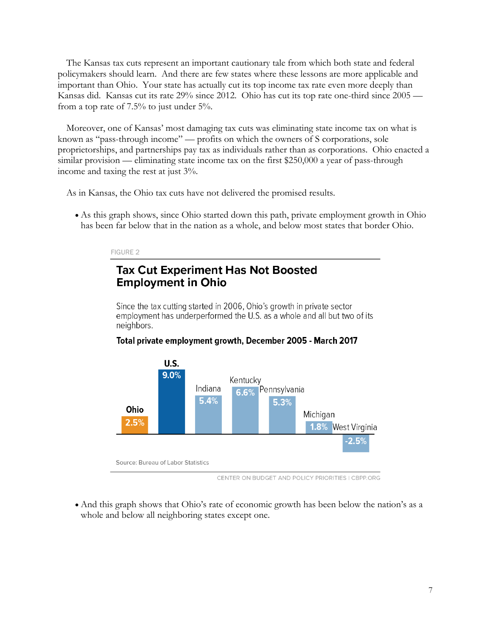The Kansas tax cuts represent an important cautionary tale from which both state and federal policymakers should learn. And there are few states where these lessons are more applicable and important than Ohio. Your state has actually cut its top income tax rate even more deeply than Kansas did. Kansas cut its rate 29% since 2012. Ohio has cut its top rate one-third since 2005 from a top rate of 7.5% to just under 5%.

Moreover, one of Kansas' most damaging tax cuts was eliminating state income tax on what is known as "pass-through income" — profits on which the owners of S corporations, sole proprietorships, and partnerships pay tax as individuals rather than as corporations. Ohio enacted a similar provision — eliminating state income tax on the first \$250,000 a year of pass-through income and taxing the rest at just 3%.

As in Kansas, the Ohio tax cuts have not delivered the promised results.

• As this graph shows, since Ohio started down this path, private employment growth in Ohio has been far below that in the nation as a whole, and below most states that border Ohio.

#### FIGURE 2

# **Tax Cut Experiment Has Not Boosted Employment in Ohio**

Since the tax cutting started in 2006, Ohio's growth in private sector employment has underperformed the U.S. as a whole and all but two of its neighbors.

### Total private employment growth, December 2005 - March 2017



CENTER ON BUDGET AND POLICY PRIORITIES | CBPP.ORG

• And this graph shows that Ohio's rate of economic growth has been below the nation's as a whole and below all neighboring states except one.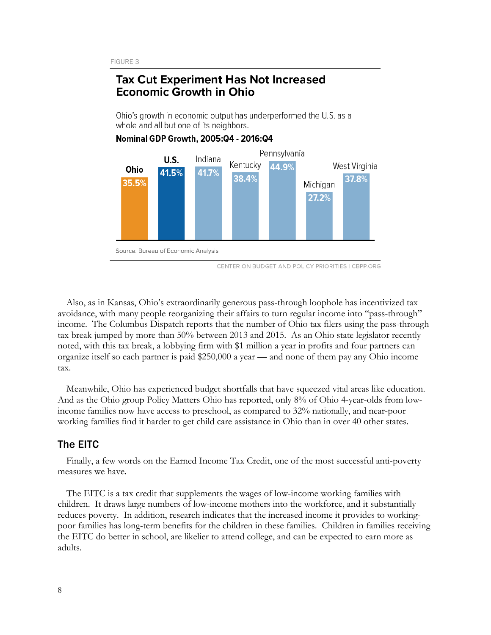## **Tax Cut Experiment Has Not Increased Economic Growth in Ohio**

Ohio's growth in economic output has underperformed the U.S. as a whole and all but one of its neighbors.



### Nominal GDP Growth, 2005:04 - 2016:04

CENTER ON BUDGET AND POLICY PRIORITIES | CBPP.ORG

Also, as in Kansas, Ohio's extraordinarily generous pass-through loophole has incentivized tax avoidance, with many people reorganizing their affairs to turn regular income into "pass-through" income. The Columbus Dispatch reports that the number of Ohio tax filers using the pass-through tax break jumped by more than 50% between 2013 and 2015. As an Ohio state legislator recently noted, with this tax break, a lobbying firm with \$1 million a year in profits and four partners can organize itself so each partner is paid \$250,000 a year — and none of them pay any Ohio income tax.

Meanwhile, Ohio has experienced budget shortfalls that have squeezed vital areas like education. And as the Ohio group Policy Matters Ohio has reported, only 8% of Ohio 4-year-olds from lowincome families now have access to preschool, as compared to 32% nationally, and near-poor working families find it harder to get child care assistance in Ohio than in over 40 other states.

### The EITC

Finally, a few words on the Earned Income Tax Credit, one of the most successful anti-poverty measures we have.

The EITC is a tax credit that supplements the wages of low-income working families with children. It draws large numbers of low-income mothers into the workforce, and it substantially reduces poverty. In addition, research indicates that the increased income it provides to workingpoor families has long-term benefits for the children in these families. Children in families receiving the EITC do better in school, are likelier to attend college, and can be expected to earn more as adults.